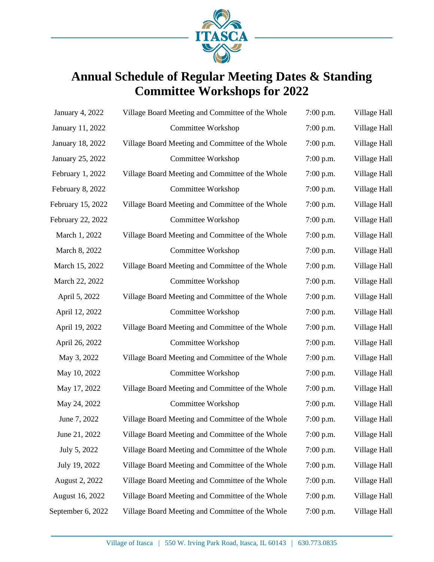

# **Annual Schedule of Regular Meeting Dates & Standing Committee Workshops for 2022**

| <b>January 4, 2022</b> | Village Board Meeting and Committee of the Whole | 7:00 p.m.   | Village Hall |
|------------------------|--------------------------------------------------|-------------|--------------|
| January 11, 2022       | Committee Workshop                               | $7:00$ p.m. | Village Hall |
| January 18, 2022       | Village Board Meeting and Committee of the Whole | $7:00$ p.m. | Village Hall |
| January 25, 2022       | Committee Workshop                               | $7:00$ p.m. | Village Hall |
| February 1, 2022       | Village Board Meeting and Committee of the Whole | $7:00$ p.m. | Village Hall |
| February 8, 2022       | Committee Workshop                               | 7:00 p.m.   | Village Hall |
| February 15, 2022      | Village Board Meeting and Committee of the Whole | $7:00$ p.m. | Village Hall |
| February 22, 2022      | Committee Workshop                               | $7:00$ p.m. | Village Hall |
| March 1, 2022          | Village Board Meeting and Committee of the Whole | $7:00$ p.m. | Village Hall |
| March 8, 2022          | <b>Committee Workshop</b>                        | $7:00$ p.m. | Village Hall |
| March 15, 2022         | Village Board Meeting and Committee of the Whole | 7:00 p.m.   | Village Hall |
| March 22, 2022         | Committee Workshop                               | $7:00$ p.m. | Village Hall |
| April 5, 2022          | Village Board Meeting and Committee of the Whole | $7:00$ p.m. | Village Hall |
| April 12, 2022         | Committee Workshop                               | $7:00$ p.m. | Village Hall |
| April 19, 2022         | Village Board Meeting and Committee of the Whole | $7:00$ p.m. | Village Hall |
| April 26, 2022         | Committee Workshop                               | 7:00 p.m.   | Village Hall |
| May 3, 2022            | Village Board Meeting and Committee of the Whole | $7:00$ p.m. | Village Hall |
| May 10, 2022           | Committee Workshop                               | $7:00$ p.m. | Village Hall |
| May 17, 2022           | Village Board Meeting and Committee of the Whole | $7:00$ p.m. | Village Hall |
| May 24, 2022           | Committee Workshop                               | 7:00 p.m.   | Village Hall |
| June 7, 2022           | Village Board Meeting and Committee of the Whole | 7:00 p.m.   | Village Hall |
| June 21, 2022          | Village Board Meeting and Committee of the Whole | 7:00 p.m.   | Village Hall |
| July 5, 2022           | Village Board Meeting and Committee of the Whole | $7:00$ p.m. | Village Hall |
| July 19, 2022          | Village Board Meeting and Committee of the Whole | $7:00$ p.m. | Village Hall |
| August 2, 2022         | Village Board Meeting and Committee of the Whole | $7:00$ p.m. | Village Hall |
| August 16, 2022        | Village Board Meeting and Committee of the Whole | $7:00$ p.m. | Village Hall |
| September 6, 2022      | Village Board Meeting and Committee of the Whole | 7:00 p.m.   | Village Hall |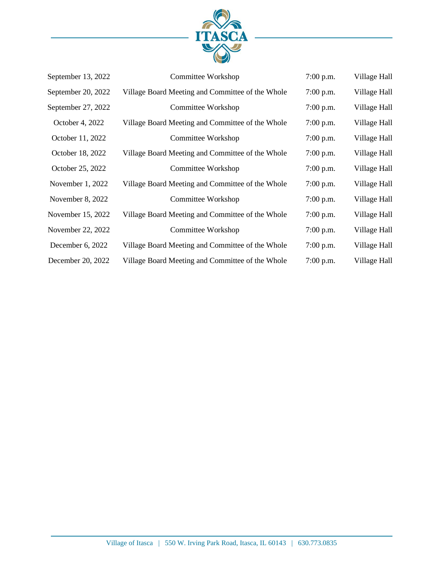

| September 13, 2022 | Committee Workshop                               | $7:00$ p.m. | Village Hall |
|--------------------|--------------------------------------------------|-------------|--------------|
| September 20, 2022 | Village Board Meeting and Committee of the Whole | $7:00$ p.m. | Village Hall |
| September 27, 2022 | Committee Workshop                               | $7:00$ p.m. | Village Hall |
| October 4, 2022    | Village Board Meeting and Committee of the Whole | $7:00$ p.m. | Village Hall |
| October 11, 2022   | Committee Workshop                               | $7:00$ p.m. | Village Hall |
| October 18, 2022   | Village Board Meeting and Committee of the Whole | $7:00$ p.m. | Village Hall |
| October 25, 2022   | Committee Workshop                               | $7:00$ p.m. | Village Hall |
| November 1, 2022   | Village Board Meeting and Committee of the Whole | $7:00$ p.m. | Village Hall |
| November 8, 2022   | Committee Workshop                               | $7:00$ p.m. | Village Hall |
| November 15, 2022  | Village Board Meeting and Committee of the Whole | $7:00$ p.m. | Village Hall |
| November 22, 2022  | Committee Workshop                               | $7:00$ p.m. | Village Hall |
| December 6, 2022   | Village Board Meeting and Committee of the Whole | $7:00$ p.m. | Village Hall |
| December 20, 2022  | Village Board Meeting and Committee of the Whole | 7:00 p.m.   | Village Hall |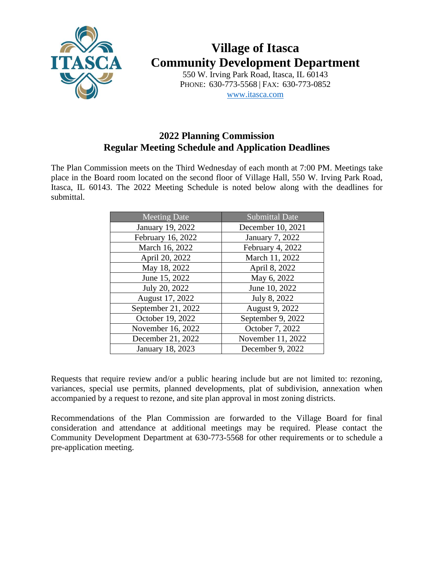

# **Village of Itasca Community Development Department**

550 W. Irving Park Road, Itasca, IL 60143 PHONE: 630-773-5568 | FAX: 630-773-0852 [www.itasca.com](http://www.itasca.com/)

#### **2022 Planning Commission Regular Meeting Schedule and Application Deadlines**

The Plan Commission meets on the Third Wednesday of each month at 7:00 PM. Meetings take place in the Board room located on the second floor of Village Hall, 550 W. Irving Park Road, Itasca, IL 60143. The 2022 Meeting Schedule is noted below along with the deadlines for submittal.

| <b>Meeting Date</b> | <b>Submittal Date</b> |
|---------------------|-----------------------|
| January 19, 2022    | December 10, 2021     |
| February 16, 2022   | January 7, 2022       |
| March 16, 2022      | February 4, 2022      |
| April 20, 2022      | March 11, 2022        |
| May 18, 2022        | April 8, 2022         |
| June 15, 2022       | May 6, 2022           |
| July 20, 2022       | June 10, 2022         |
| August 17, 2022     | July 8, 2022          |
| September 21, 2022  | August 9, 2022        |
| October 19, 2022    | September 9, 2022     |
| November 16, 2022   | October 7, 2022       |
| December 21, 2022   | November 11, 2022     |
| January 18, 2023    | December 9, 2022      |

Requests that require review and/or a public hearing include but are not limited to: rezoning, variances, special use permits, planned developments, plat of subdivision, annexation when accompanied by a request to rezone, and site plan approval in most zoning districts.

Recommendations of the Plan Commission are forwarded to the Village Board for final consideration and attendance at additional meetings may be required. Please contact the Community Development Department at 630-773-5568 for other requirements or to schedule a pre-application meeting.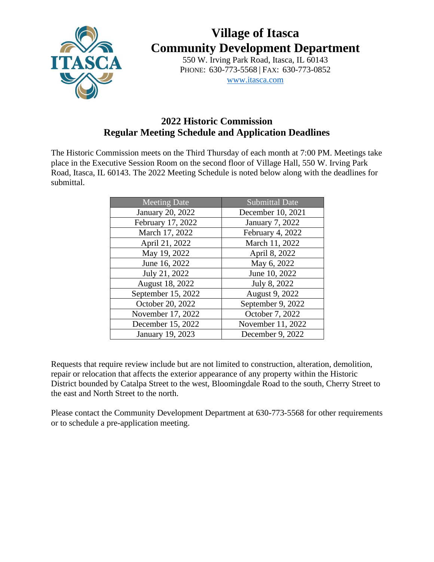

# **Village of Itasca Community Development Department**

550 W. Irving Park Road, Itasca, IL 60143 PHONE: 630-773-5568 | FAX: 630-773-0852 [www.itasca.com](http://www.itasca.com/)

#### **2022 Historic Commission Regular Meeting Schedule and Application Deadlines**

The Historic Commission meets on the Third Thursday of each month at 7:00 PM. Meetings take place in the Executive Session Room on the second floor of Village Hall, 550 W. Irving Park Road, Itasca, IL 60143. The 2022 Meeting Schedule is noted below along with the deadlines for submittal.

| <b>Meeting Date</b> | <b>Submittal Date</b> |
|---------------------|-----------------------|
| January 20, 2022    | December 10, 2021     |
| February 17, 2022   | January 7, 2022       |
| March 17, 2022      | February 4, 2022      |
| April 21, 2022      | March 11, 2022        |
| May 19, 2022        | April 8, 2022         |
| June 16, 2022       | May 6, 2022           |
| July 21, 2022       | June 10, 2022         |
| August 18, 2022     | July 8, 2022          |
| September 15, 2022  | August 9, 2022        |
| October 20, 2022    | September 9, 2022     |
| November 17, 2022   | October 7, 2022       |
| December 15, 2022   | November 11, 2022     |
| January 19, 2023    | December 9, 2022      |

Requests that require review include but are not limited to construction, alteration, demolition, repair or relocation that affects the exterior appearance of any property within the Historic District bounded by Catalpa Street to the west, Bloomingdale Road to the south, Cherry Street to the east and North Street to the north.

Please contact the Community Development Department at 630-773-5568 for other requirements or to schedule a pre-application meeting.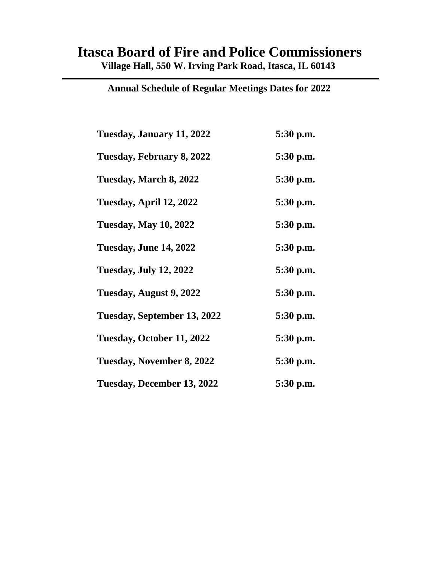## **Itasca Board of Fire and Police Commissioners Village Hall, 550 W. Irving Park Road, Itasca, IL 60143**

| Tuesday, January 11, 2022     | 5:30 p.m. |
|-------------------------------|-----------|
| Tuesday, February 8, 2022     | 5:30 p.m. |
| Tuesday, March 8, 2022        | 5:30 p.m. |
| Tuesday, April 12, 2022       | 5:30 p.m. |
| <b>Tuesday, May 10, 2022</b>  | 5:30 p.m. |
| Tuesday, June 14, 2022        | 5:30 p.m. |
| <b>Tuesday, July 12, 2022</b> | 5:30 p.m. |
| Tuesday, August 9, 2022       | 5:30 p.m. |
| Tuesday, September 13, 2022   | 5:30 p.m. |
| Tuesday, October 11, 2022     | 5:30 p.m. |
| Tuesday, November 8, 2022     | 5:30 p.m. |
| Tuesday, December 13, 2022    | 5:30 p.m. |

**Annual Schedule of Regular Meetings Dates for 2022**